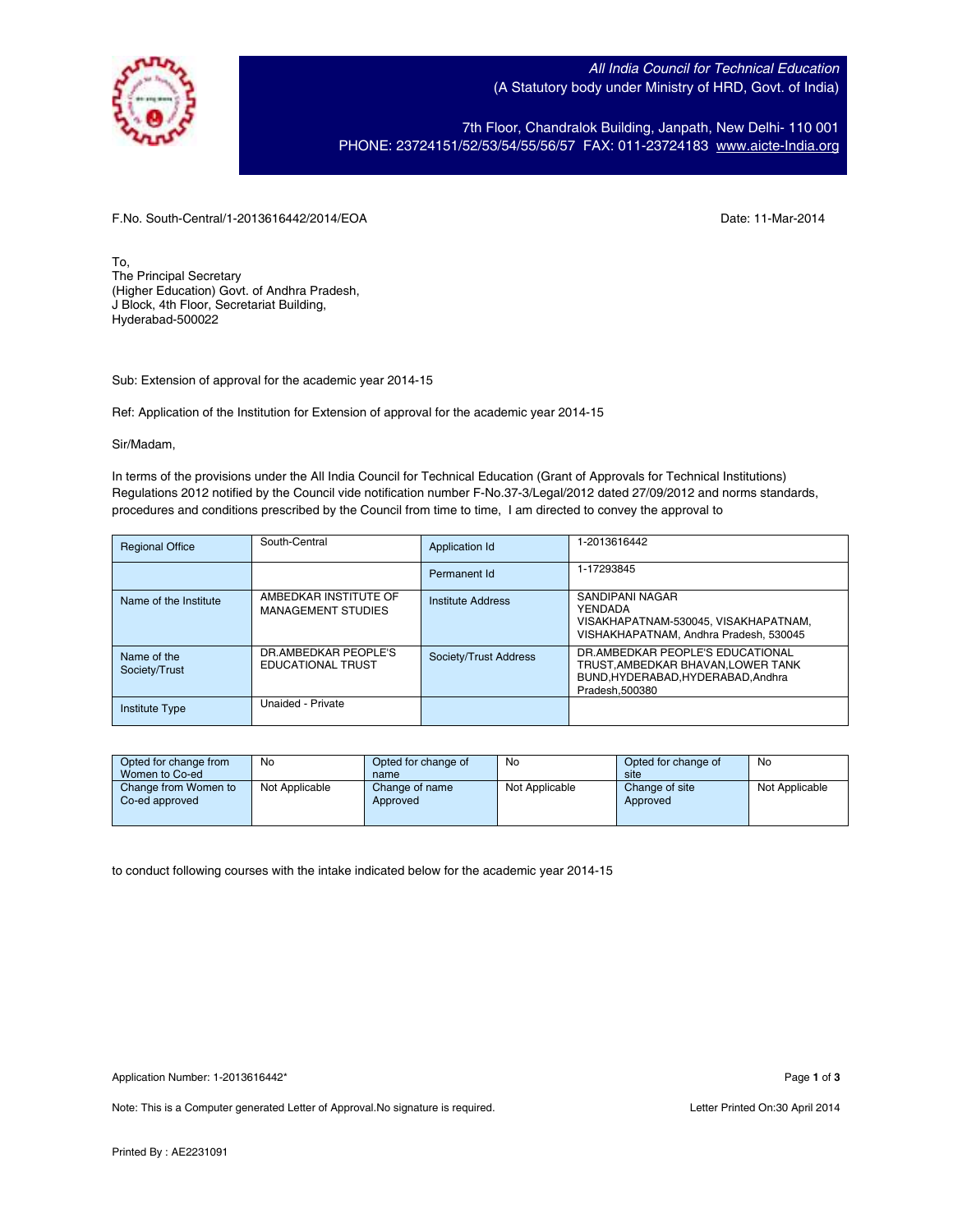

All India Council for Technical Education (A Statutory body under Ministry of HRD, Govt. of India)

7th Floor, Chandralok Building, Janpath, New Delhi- 110 001 PHONE: 23724151/52/53/54/55/56/57 FAX: 011-23724183 www.aicte-India.org

F.No. South-Central/1-2013616442/2014/EOA Date: 11-Mar-2014

To, The Principal Secretary (Higher Education) Govt. of Andhra Pradesh, J Block, 4th Floor, Secretariat Building, Hyderabad-500022

Sub: Extension of approval for the academic year 2014-15

Ref: Application of the Institution for Extension of approval for the academic year 2014-15

Sir/Madam,

In terms of the provisions under the All India Council for Technical Education (Grant of Approvals for Technical Institutions) Regulations 2012 notified by the Council vide notification number F-No.37-3/Legal/2012 dated 27/09/2012 and norms standards, procedures and conditions prescribed by the Council from time to time, I am directed to convey the approval to

| <b>Regional Office</b>       | South-Central                                      | Application Id        | 1-2013616442                                                                                                              |
|------------------------------|----------------------------------------------------|-----------------------|---------------------------------------------------------------------------------------------------------------------------|
|                              |                                                    | Permanent Id          | 1-17293845                                                                                                                |
| Name of the Institute        | AMBEDKAR INSTITUTE OF<br><b>MANAGEMENT STUDIES</b> | Institute Address     | SANDIPANI NAGAR<br>YFNDADA<br>VISAKHAPATNAM-530045, VISAKHAPATNAM,<br>VISHAKHAPATNAM, Andhra Pradesh, 530045              |
| Name of the<br>Society/Trust | DR.AMBEDKAR PEOPLE'S<br><b>EDUCATIONAL TRUST</b>   | Society/Trust Address | DR.AMBEDKAR PEOPLE'S EDUCATIONAL<br>TRUST AMBEDKAR BHAVAN LOWER TANK<br>BUND.HYDERABAD.HYDERABAD.Andhra<br>Pradesh.500380 |
| <b>Institute Type</b>        | Unaided - Private                                  |                       |                                                                                                                           |

| Opted for change from<br>Women to Co-ed | No             | Opted for change of<br>name | No             | Opted for change of<br>site | No             |
|-----------------------------------------|----------------|-----------------------------|----------------|-----------------------------|----------------|
| Change from Women to<br>Co-ed approved  | Not Applicable | Change of name<br>Approved  | Not Applicable | Change of site<br>Approved  | Not Applicable |

to conduct following courses with the intake indicated below for the academic year 2014-15

Note: This is a Computer generated Letter of Approval. No signature is required. Letter Printed On:30 April 2014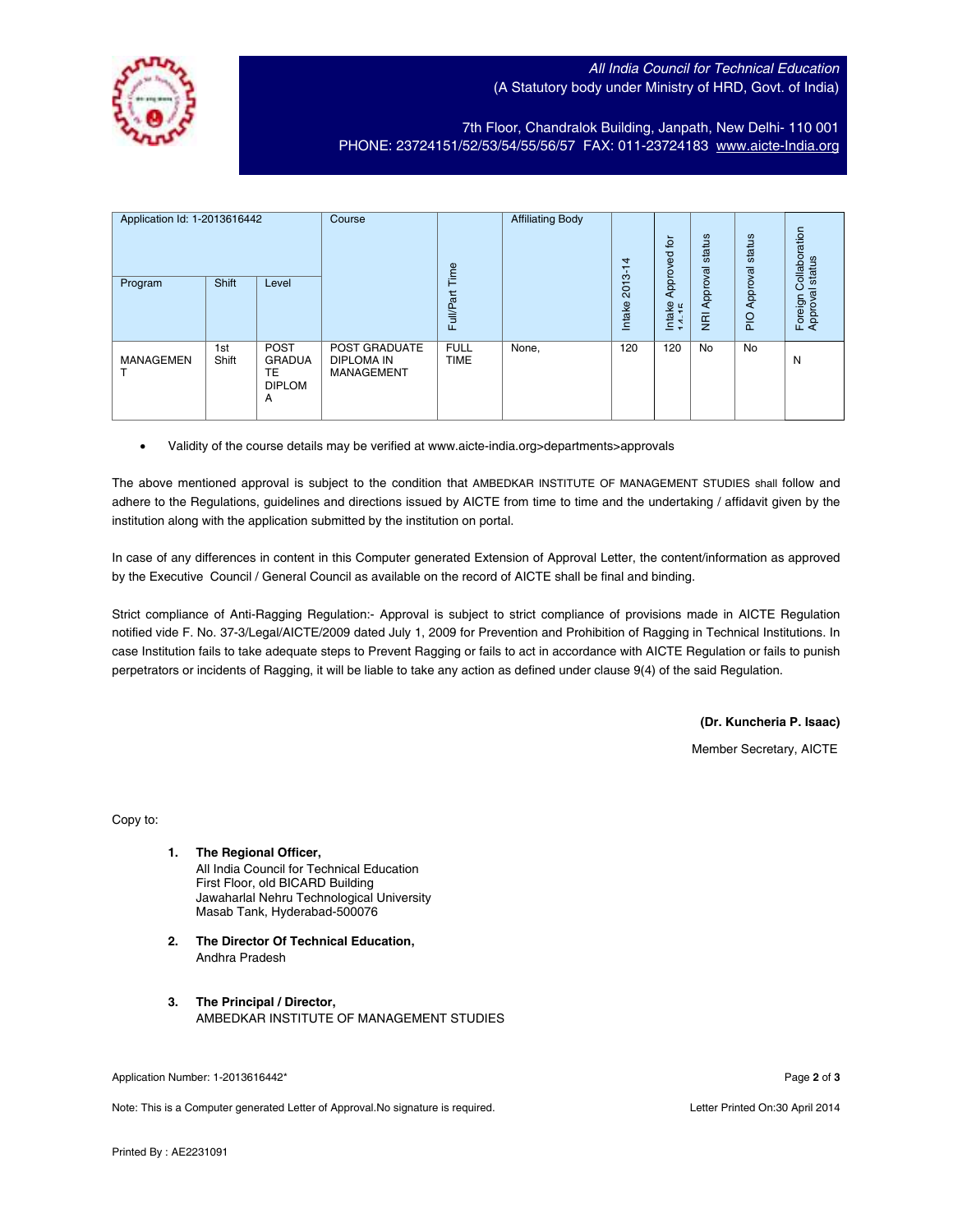## All India Council for Technical Education (A Statutory body under Ministry of HRD, Govt. of India)

7th Floor, Chandralok Building, Janpath, New Delhi- 110 001 PHONE: 23724151/52/53/54/55/56/57 FAX: 011-23724183 www.aicte-India.org

| Application Id: 1-2013616442 |              | Course<br>Time                                           |                                                         | <b>Affiliating Body</b>    | 4     | 흐<br>공                | status                    | status        | Collaboration<br>status |                       |
|------------------------------|--------------|----------------------------------------------------------|---------------------------------------------------------|----------------------------|-------|-----------------------|---------------------------|---------------|-------------------------|-----------------------|
| Program                      | Shift        | Level                                                    |                                                         | <b>Full/Part</b>           |       | $2013 - 14$<br>Intake | Approv<br>Intake<br>14-15 | Approval<br>ğ | Approval<br><b>DI</b> d | Foreign C<br>Approval |
| <b>MANAGEMEN</b>             | 1st<br>Shift | <b>POST</b><br><b>GRADUA</b><br>ТE<br><b>DIPLOM</b><br>A | <b>POST GRADUATE</b><br>DIPLOMA IN<br><b>MANAGEMENT</b> | <b>FULL</b><br><b>TIME</b> | None, | 120                   | 120                       | No            | No                      | N                     |

• Validity of the course details may be verified at www.aicte-india.org>departments>approvals

The above mentioned approval is subject to the condition that AMBEDKAR INSTITUTE OF MANAGEMENT STUDIES shall follow and adhere to the Regulations, guidelines and directions issued by AICTE from time to time and the undertaking / affidavit given by the institution along with the application submitted by the institution on portal.

In case of any differences in content in this Computer generated Extension of Approval Letter, the content/information as approved by the Executive Council / General Council as available on the record of AICTE shall be final and binding.

Strict compliance of Anti-Ragging Regulation:- Approval is subject to strict compliance of provisions made in AICTE Regulation notified vide F. No. 37-3/Legal/AICTE/2009 dated July 1, 2009 for Prevention and Prohibition of Ragging in Technical Institutions. In case Institution fails to take adequate steps to Prevent Ragging or fails to act in accordance with AICTE Regulation or fails to punish perpetrators or incidents of Ragging, it will be liable to take any action as defined under clause 9(4) of the said Regulation.

**(Dr. Kuncheria P. Isaac)**

Member Secretary, AICTE

Copy to:

- **1. The Regional Officer,** All India Council for Technical Education First Floor, old BICARD Building Jawaharlal Nehru Technological University Masab Tank, Hyderabad-500076
- **2. The Director Of Technical Education,** Andhra Pradesh
- **3. The Principal / Director,** AMBEDKAR INSTITUTE OF MANAGEMENT STUDIES

Note: This is a Computer generated Letter of Approval.No signature is required. Letter According the state of Approval.No signature is required.